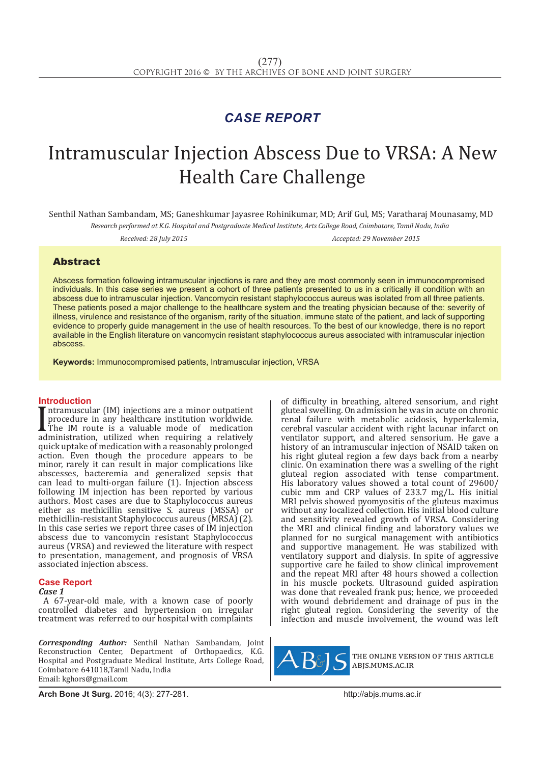## *CASE REPORT*

# Intramuscular Injection Abscess Due to VRSA: A New Health Care Challenge

Senthil Nathan Sambandam, MS; Ganeshkumar Jayasree Rohinikumar, MD; Arif Gul, MS; Varatharaj Mounasamy, MD

*Research performed at K.G. Hospital and Postgraduate Medical Institute, Arts College Road, Coimbatore, Tamil Nadu, India*

*Received: 28 July 2015 Accepted: 29 November 2015*

### Abstract

Abscess formation following intramuscular injections is rare and they are most commonly seen in immunocompromised individuals. In this case series we present a cohort of three patients presented to us in a critically ill condition with an abscess due to intramuscular injection. Vancomycin resistant staphylococcus aureus was isolated from all three patients. These patients posed a major challenge to the healthcare system and the treating physician because of the: severity of illness, virulence and resistance of the organism, rarity of the situation, immune state of the patient, and lack of supporting evidence to properly guide management in the use of health resources. To the best of our knowledge, there is no report available in the English literature on vancomycin resistant staphylococcus aureus associated with intramuscular injection abscess.

**Keywords:** Immunocompromised patients, Intramuscular injection, VRSA

#### **Introduction**

Intramascular (iii) injections are a minor outpatient<br>procedure in any healthcare institution worldwide.<br>administration, utilized when requiring a relatively<br>utilized when requiring a relatively ntramuscular (IM) injections are a minor outpatient procedure in any healthcare institution worldwide. The IM route is a valuable mode of medication quick uptake of medication with a reasonably prolonged action. Even though the procedure appears to be minor, rarely it can result in major complications like abscesses, bacteremia and generalized sepsis that can lead to multi-organ failure (1). Injection abscess following IM injection has been reported by various authors. Most cases are due to Staphylococcus aureus either as methicillin sensitive S. aureus (MSSA) or methicillin-resistant Staphylococcus aureus (MRSA) (2). In this case series we report three cases of IM injection abscess due to vancomycin resistant Staphylococcus aureus (VRSA) and reviewed the literature with respect to presentation, management, and prognosis of VRSA associated injection abscess.

#### **Case Report**

*Case 1*

A 67-year-old male, with a known case of poorly controlled diabetes and hypertension on irregular treatment was referred to our hospital with complaints

*Corresponding Author:* Senthil Nathan Sambandam, Joint Reconstruction Center, Department of Orthopaedics, K.G. Hospital and Postgraduate Medical Institute, Arts College Road, Coimbatore 641018,Tamil Nadu, India Email: kghors@gmail.com

of difficulty in breathing, altered sensorium, and right gluteal swelling. On admission he was in acute on chronic renal failure with metabolic acidosis, hyperkalemia, cerebral vascular accident with right lacunar infarct on ventilator support, and altered sensorium. He gave a history of an intramuscular injection of NSAID taken on his right gluteal region a few days back from a nearby clinic. On examination there was a swelling of the right gluteal region associated with tense compartment. His laboratory values showed a total count of 29600/ cubic mm and CRP values of 233.7 mg/L. His initial MRI pelvis showed pyomyositis of the gluteus maximus without any localized collection. His initial blood culture and sensitivity revealed growth of VRSA. Considering the MRI and clinical finding and laboratory values we planned for no surgical management with antibiotics and supportive management. He was stabilized with ventilatory support and dialysis. In spite of aggressive supportive care he failed to show clinical improvement and the repeat MRI after 48 hours showed a collection in his muscle pockets. Ultrasound guided aspiration was done that revealed frank pus; hence, we proceeded with wound debridement and drainage of pus in the right gluteal region. Considering the severity of the infection and muscle involvement, the wound was left



the online version of this article abjs.mums.ac.ir

**Arch Bone Jt Surg.** 2016; 4(3): 277-281.http://abjs.mums.ac.ir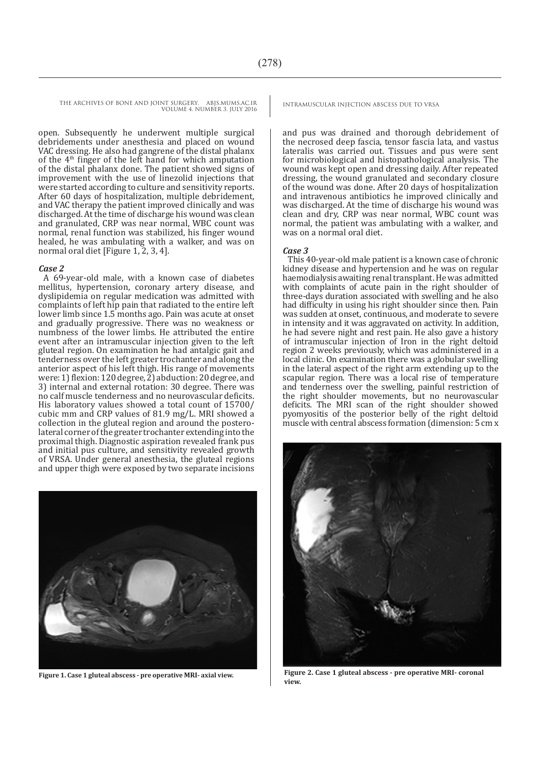THE ARCHIVES OF BONE AND JOINT SURGERY. ABJS.MUMS.AC.IR VOLUME 4. NUMBER 3. JULY 2016

open. Subsequently he underwent multiple surgical debridements under anesthesia and placed on wound VAC dressing. He also had gangrene of the distal phalanx of the  $4<sup>th</sup>$  finger of the left hand for which amputation of the distal phalanx done. The patient showed signs of improvement with the use of linezolid injections that were started according to culture and sensitivity reports. After 60 days of hospitalization, multiple debridement, and VAC therapy the patient improved clinically and was discharged. At the time of discharge his wound was clean and granulated, CRP was near normal, WBC count was normal, renal function was stabilized, his finger wound healed, he was ambulating with a walker, and was on normal oral diet [Figure 1, 2, 3, 4].

#### *Case 2*

A 69-year-old male, with a known case of diabetes mellitus, hypertension, coronary artery disease, and dyslipidemia on regular medication was admitted with complaints of left hip pain that radiated to the entire left lower limb since 1.5 months ago. Pain was acute at onset and gradually progressive. There was no weakness or numbness of the lower limbs. He attributed the entire event after an intramuscular injection given to the left gluteal region. On examination he had antalgic gait and tenderness over the left greater trochanter and along the anterior aspect of his left thigh. His range of movements were: 1) flexion: 120 degree, 2) abduction: 20 degree, and 3) internal and external rotation: 30 degree. There was no calf muscle tenderness and no neurovascular deficits. His laboratory values showed a total count of 15700/ cubic mm and CRP values of 81.9 mg/L. MRI showed a collection in the gluteal region and around the posterolateral corner of the greater trochanter extending into the proximal thigh. Diagnostic aspiration revealed frank pus and initial pus culture, and sensitivity revealed growth of VRSA. Under general anesthesia, the gluteal regions and upper thigh were exposed by two separate incisions



and pus was drained and thorough debridement of the necrosed deep fascia, tensor fascia lata, and vastus lateralis was carried out. Tissues and pus were sent for microbiological and histopathological analysis. The wound was kept open and dressing daily. After repeated dressing, the wound granulated and secondary closure of the wound was done. After 20 days of hospitalization and intravenous antibiotics he improved clinically and was discharged. At the time of discharge his wound was clean and dry, CRP was near normal, WBC count was normal, the patient was ambulating with a walker, and was on a normal oral diet.

#### *Case 3*

This 40-year-old male patient is a known case of chronic kidney disease and hypertension and he was on regular haemodialysis awaiting renal transplant. He was admitted with complaints of acute pain in the right shoulder of three-days duration associated with swelling and he also had difficulty in using his right shoulder since then. Pain was sudden at onset, continuous, and moderate to severe in intensity and it was aggravated on activity. In addition, he had severe night and rest pain. He also gave a history of intramuscular injection of Iron in the right deltoid region 2 weeks previously, which was administered in a local clinic. On examination there was a globular swelling in the lateral aspect of the right arm extending up to the scapular region. There was a local rise of temperature and tenderness over the swelling, painful restriction of the right shoulder movements, but no neurovascular deficits. The MRI scan of the right shoulder showed pyomyositis of the posterior belly of the right deltoid muscle with central abscess formation (dimension: 5 cm x



**Figure 1. Case 1 gluteal abscess - pre operative MRI- axial view. Figure 2. Case 1 gluteal abscess - pre operative MRI- coronal view.**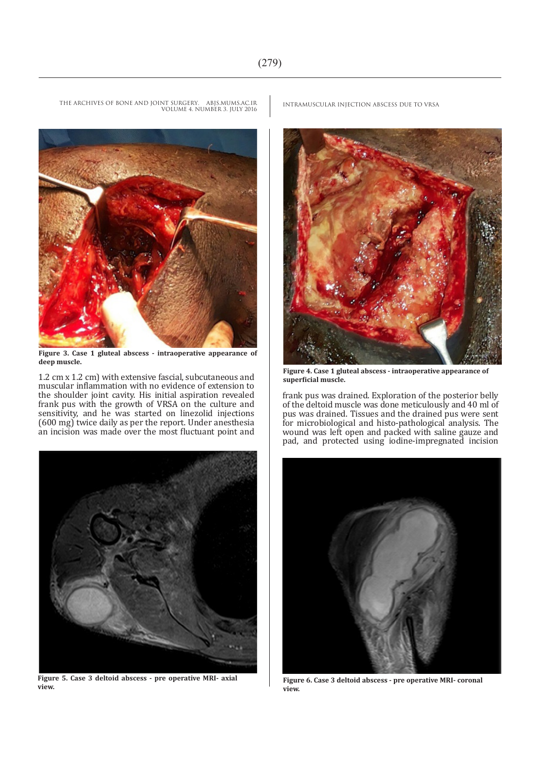

**Figure 3. Case 1 gluteal abscess - intraoperative appearance of deep muscle.**

1.2 cm x 1.2 cm) with extensive fascial, subcutaneous and muscular inflammation with no evidence of extension to the shoulder joint cavity. His initial aspiration revealed frank pus with the growth of VRSA on the culture and sensitivity, and he was started on linezolid injections (600 mg) twice daily as per the report. Under anesthesia an incision was made over the most fluctuant point and



**Figure 5. Case 3 deltoid abscess - pre operative MRI- axial view.**

THE ARCHIVES OF BONE AND JOINT SURGERY. ABJS.MUMS.AC.IR VOLUME 4. NUMBER 3. JULY 2016



**Figure 4. Case 1 gluteal abscess - intraoperative appearance of superficial muscle.**

frank pus was drained. Exploration of the posterior belly of the deltoid muscle was done meticulously and 40 ml of pus was drained. Tissues and the drained pus were sent for microbiological and histo-pathological analysis. The wound was left open and packed with saline gauze and pad, and protected using iodine-impregnated incision



**Figure 6. Case 3 deltoid abscess - pre operative MRI- coronal view.**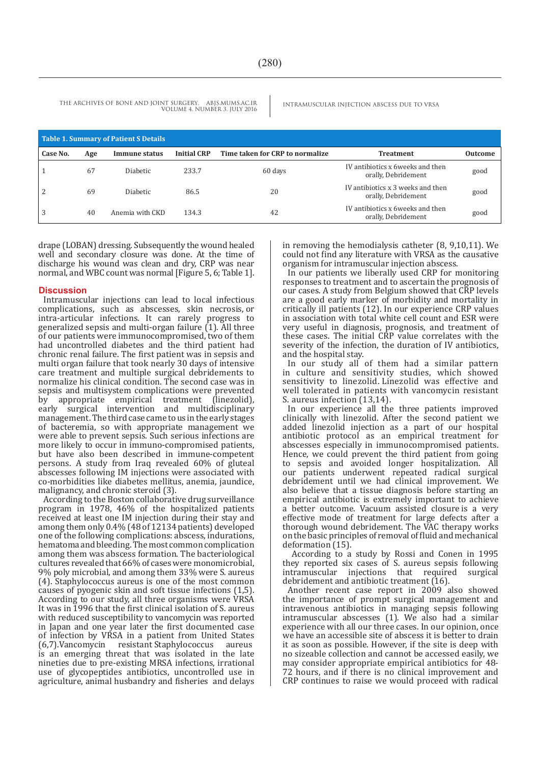THE ARCHIVES OF BONE AND JOINT SURGERY. ABJS.MUMS.AC.IR VOLUME 4. NUMBER 3. JULY 2016

| Table 1. Summary of Patient S Details |     |                 |                    |                                 |                                                          |                |
|---------------------------------------|-----|-----------------|--------------------|---------------------------------|----------------------------------------------------------|----------------|
| Case No.                              | Age | Immune status   | <b>Initial CRP</b> | Time taken for CRP to normalize | Treatment                                                | <b>Outcome</b> |
|                                       | 67  | <b>Diabetic</b> | 233.7              | 60 days                         | IV antibiotics x 6 weeks and then<br>orally, Debridement | good           |
| 2                                     | 69  | <b>Diabetic</b> | 86.5               | 20                              | IV antibiotics x 3 weeks and then<br>orally, Debridement | good           |
| 3                                     | 40  | Anemia with CKD | 134.3              | 42                              | IV antibiotics x 6 weeks and then<br>orally, Debridement | good           |

drape (LOBAN) dressing. Subsequently the wound healed well and secondary closure was done. At the time of discharge his wound was clean and dry, CRP was near normal, and WBC count was normal [Figure 5, 6; Table 1].

#### **Discussion**

Intramuscular injections can lead to local infectious complications, such as abscesses, skin necrosis, or intra-articular infections. It can rarely progress to generalized sepsis and multi-organ failure (1). All three of our patients were immunocompromised, two of them had uncontrolled diabetes and the third patient had chronic renal failure. The first patient was in sepsis and multi organ failure that took nearly 30 days of intensive care treatment and multiple surgical debridements to normalize his clinical condition. The second case was in sepsis and multisystem complications were prevented<br>by appropriate empirical treatment (linezolid), appropriate empirical treatment early surgical intervention and multidisciplinary management. The third case came to us in the early stages of bacteremia, so with appropriate management we were able to prevent sepsis. Such serious infections are more likely to occur in immuno-compromised patients, but have also been described in immune-competent persons. A study from Iraq revealed 60% of gluteal abscesses following IM injections were associated with co-morbidities like diabetes mellitus, anemia, jaundice, malignancy, and chronic steroid (3).

According to the Boston collaborative drug surveillance program in 1978, 46% of the hospitalized patients received at least one IM injection during their stay and among them only 0.4% (48 of 12134 patients) developed one of the following complications: abscess, indurations, hematoma and bleeding. The most common complication among them was abscess formation. The bacteriological cultures revealed that 66% of cases were monomicrobial, 9% poly microbial, and among them 33% were S. aureus (4). Staphylococcus aureus is one of the most common causes of pyogenic skin and soft tissue infections (1,5). According to our study, all three organisms were VRSA It was in 1996 that the first clinical isolation of S. aureus with reduced susceptibility to vancomycin was reported in Japan and one year later the first documented case of infection by VRSA in a patient from United States (6.7) Vancomycin resistant Stanhylococcus aureus  $(6,7)$ . Vancomycin resistant Staphylococcus is an emerging threat that was isolated in the late nineties due to pre-existing MRSA infections, irrational use of glycopeptides antibiotics, uncontrolled use in agriculture, animal husbandry and fisheries and delays in removing the hemodialysis catheter (8, 9,10,11). We could not find any literature with VRSA as the causative organism for intramuscular injection abscess.

In our patients we liberally used CRP for monitoring responses to treatment and to ascertain the prognosis of our cases. A study from Belgium showed that CRP levels are a good early marker of morbidity and mortality in critically ill patients (12). In our experience CRP values in association with total white cell count and ESR were very useful in diagnosis, prognosis, and treatment of these cases. The initial CRP value correlates with the severity of the infection, the duration of IV antibiotics, and the hospital stay.

In our study all of them had a similar pattern in culture and sensitivity studies, which showed sensitivity to linezolid. Linezolid was effective and well tolerated in patients with vancomycin resistant S. aureus infection (13,14).

In our experience all the three patients improved clinically with linezolid. After the second patient we added linezolid injection as a part of our hospital antibiotic protocol as an empirical treatment for abscesses especially in immunocompromised patients. Hence, we could prevent the third patient from going to sepsis and avoided longer hospitalization. All our patients underwent repeated radical surgical debridement until we had clinical improvement. We also believe that a tissue diagnosis before starting an empirical antibiotic is extremely important to achieve a better outcome. Vacuum assisted closure is a very effective mode of treatment for large defects after a thorough wound debridement. The VAC therapy works on the basic principles of removal of fluid and mechanical deformation (15).

 According to a study by Rossi and Conen in 1995 they reported six cases of S. aureus sepsis following required surgical debridement and antibiotic treatment (16).

Another recent case report in 2009 also showed the importance of prompt surgical management and intravenous antibiotics in managing sepsis following intramuscular abscesses (1). We also had a similar experience with all our three cases. In our opinion, once we have an accessible site of abscess it is better to drain it as soon as possible. However, if the site is deep with no sizeable collection and cannot be accessed easily, we may consider appropriate empirical antibiotics for 48- 72 hours, and if there is no clinical improvement and CRP continues to raise we would proceed with radical